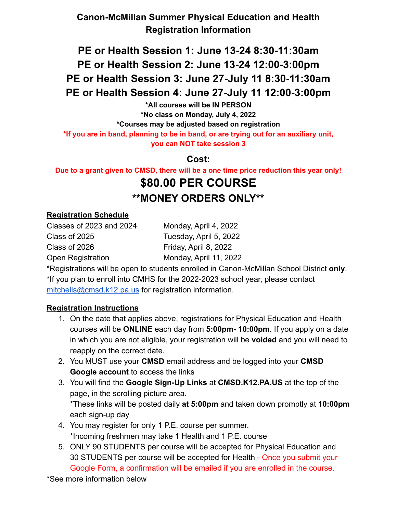### **Canon-McMillan Summer Physical Education and Health Registration Information**

# **PE or Health Session 1: June 13-24 8:30-11:30am PE or Health Session 2: June 13-24 12:00-3:00pm PE or Health Session 3: June 27-July 11 8:30-11:30am PE or Health Session 4: June 27-July 11 12:00-3:00pm**

**\*All courses will be IN PERSON \*No class on Monday, July 4, 2022 \*Courses may be adjusted based on registration \*If you are in band, planning to be in band, or are trying out for an auxiliary unit, you can NOT take session 3**

**Cost:**

**Due to a grant given to CMSD, there will be a one time price reduction this year only!**

# **\$80.00 PER COURSE \*\*MONEY ORDERS ONLY\*\***

#### **Registration Schedule**

Classes of 2023 and 2024 Monday, April 4, 2022 Class of 2025 Tuesday, April 5, 2022 Class of 2026 Friday, April 8, 2022 Open Registration Monday, April 11, 2022

\*Registrations will be open to students enrolled in Canon-McMillan School District **only**. \*If you plan to enroll into CMHS for the 2022-2023 school year, please contact [mitchells@cmsd.k12.pa.us](mailto:mitchells@cmsd.k12.pa.us) for registration information.

#### **Registration Instructions**

- 1. On the date that applies above, registrations for Physical Education and Health courses will be **ONLINE** each day from **5:00pm- 10:00pm**. If you apply on a date in which you are not eligible, your registration will be **voided** and you will need to reapply on the correct date.
- 2. You MUST use your **CMSD** email address and be logged into your **CMSD Google account** to access the links
- 3. You will find the **Google Sign-Up Links** at **CMSD.K12.PA.US** at the top of the page, in the scrolling picture area. \*These links will be posted daily **at 5:00pm** and taken down promptly at **10:00pm** each sign-up day
- 4. You may register for only 1 P.E. course per summer. \*Incoming freshmen may take 1 Health and 1 P.E. course
- 5. ONLY 90 STUDENTS per course will be accepted for Physical Education and 30 STUDENTS per course will be accepted for Health - Once you submit your Google Form, a confirmation will be emailed if you are enrolled in the course.